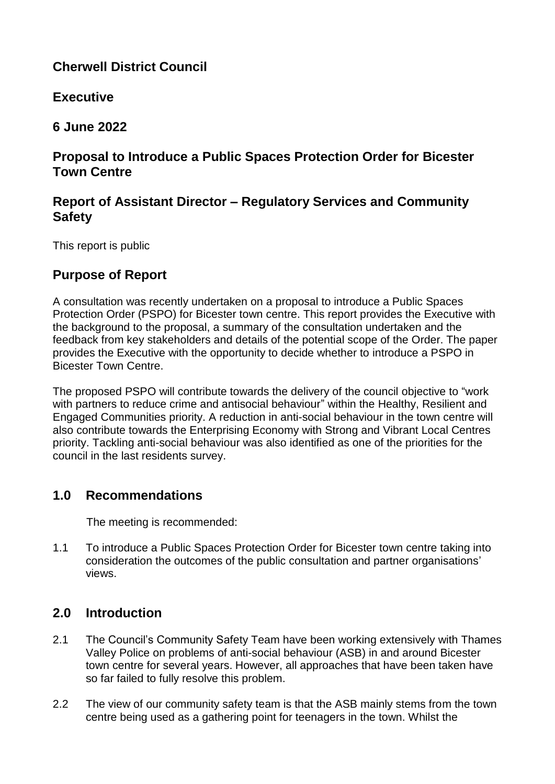# **Cherwell District Council**

**Executive**

**6 June 2022**

# **Proposal to Introduce a Public Spaces Protection Order for Bicester Town Centre**

# **Report of Assistant Director – Regulatory Services and Community Safety**

This report is public

# **Purpose of Report**

A consultation was recently undertaken on a proposal to introduce a Public Spaces Protection Order (PSPO) for Bicester town centre. This report provides the Executive with the background to the proposal, a summary of the consultation undertaken and the feedback from key stakeholders and details of the potential scope of the Order. The paper provides the Executive with the opportunity to decide whether to introduce a PSPO in Bicester Town Centre.

The proposed PSPO will contribute towards the delivery of the council objective to "work with partners to reduce crime and antisocial behaviour" within the Healthy, Resilient and Engaged Communities priority. A reduction in anti-social behaviour in the town centre will also contribute towards the Enterprising Economy with Strong and Vibrant Local Centres priority. Tackling anti-social behaviour was also identified as one of the priorities for the council in the last residents survey.

# **1.0 Recommendations**

The meeting is recommended:

1.1 To introduce a Public Spaces Protection Order for Bicester town centre taking into consideration the outcomes of the public consultation and partner organisations' views.

# **2.0 Introduction**

- 2.1 The Council's Community Safety Team have been working extensively with Thames Valley Police on problems of anti-social behaviour (ASB) in and around Bicester town centre for several years. However, all approaches that have been taken have so far failed to fully resolve this problem.
- 2.2 The view of our community safety team is that the ASB mainly stems from the town centre being used as a gathering point for teenagers in the town. Whilst the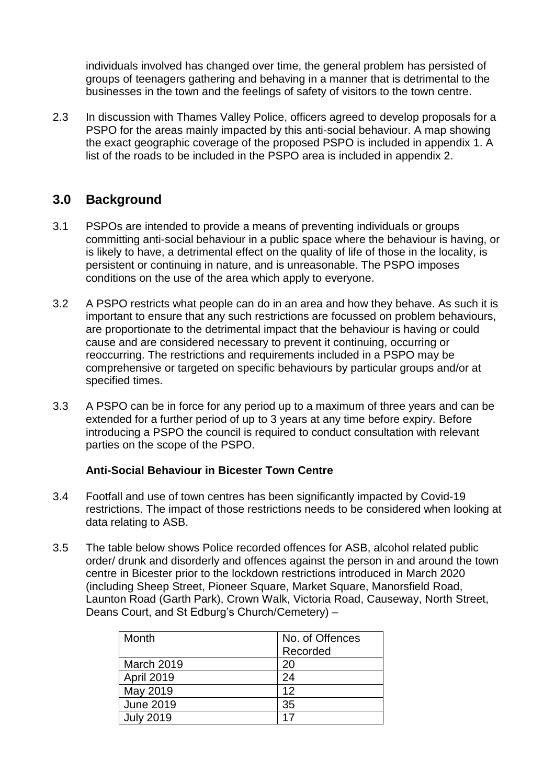individuals involved has changed over time, the general problem has persisted of groups of teenagers gathering and behaving in a manner that is detrimental to the businesses in the town and the feelings of safety of visitors to the town centre.

2.3 In discussion with Thames Valley Police, officers agreed to develop proposals for a PSPO for the areas mainly impacted by this anti-social behaviour. A map showing the exact geographic coverage of the proposed PSPO is included in appendix 1. A list of the roads to be included in the PSPO area is included in appendix 2.

## **3.0 Background**

- 3.1 PSPOs are intended to provide a means of preventing individuals or groups committing anti-social behaviour in a public space where the behaviour is having, or is likely to have, a detrimental effect on the quality of life of those in the locality, is persistent or continuing in nature, and is unreasonable. The PSPO imposes conditions on the use of the area which apply to everyone.
- 3.2 A PSPO restricts what people can do in an area and how they behave. As such it is important to ensure that any such restrictions are focussed on problem behaviours, are proportionate to the detrimental impact that the behaviour is having or could cause and are considered necessary to prevent it continuing, occurring or reoccurring. The restrictions and requirements included in a PSPO may be comprehensive or targeted on specific behaviours by particular groups and/or at specified times.
- 3.3 A PSPO can be in force for any period up to a maximum of three years and can be extended for a further period of up to 3 years at any time before expiry. Before introducing a PSPO the council is required to conduct consultation with relevant parties on the scope of the PSPO.

## **Anti-Social Behaviour in Bicester Town Centre**

- 3.4 Footfall and use of town centres has been significantly impacted by Covid-19 restrictions. The impact of those restrictions needs to be considered when looking at data relating to ASB.
- 3.5 The table below shows Police recorded offences for ASB, alcohol related public order/ drunk and disorderly and offences against the person in and around the town centre in Bicester prior to the lockdown restrictions introduced in March 2020 (including Sheep Street, Pioneer Square, Market Square, Manorsfield Road, Launton Road (Garth Park), Crown Walk, Victoria Road, Causeway, North Street, Deans Court, and St Edburg's Church/Cemetery) –

| Month            | No. of Offences |  |
|------------------|-----------------|--|
|                  | Recorded        |  |
| March 2019       | 20              |  |
| April 2019       | 24              |  |
| May 2019         | 12              |  |
| <b>June 2019</b> | 35              |  |
| <b>July 2019</b> | 17              |  |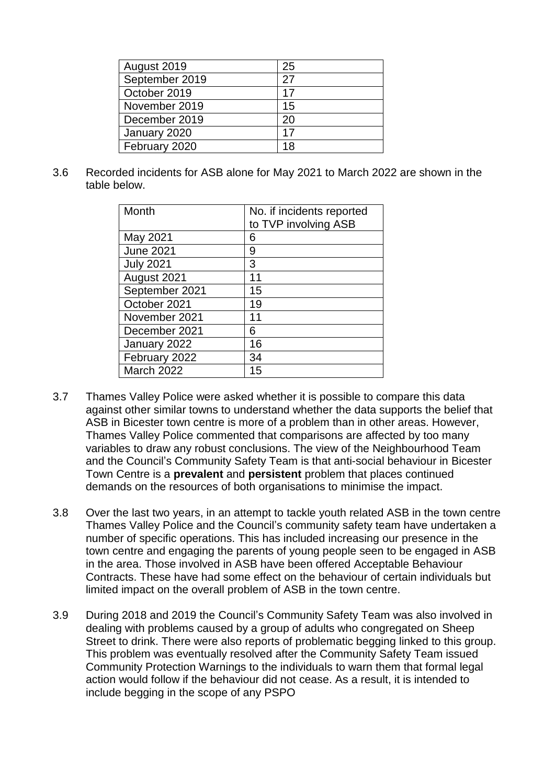| August 2019    | 25 |
|----------------|----|
| September 2019 | 27 |
| October 2019   | 17 |
| November 2019  | 15 |
| December 2019  | 20 |
| January 2020   | 17 |
| February 2020  | 18 |

3.6 Recorded incidents for ASB alone for May 2021 to March 2022 are shown in the table below.

| Month            |                           |
|------------------|---------------------------|
|                  | No. if incidents reported |
|                  | to TVP involving ASB      |
| May 2021         | 6                         |
| <b>June 2021</b> | 9                         |
| <b>July 2021</b> | 3                         |
| August 2021      | 11                        |
| September 2021   | 15                        |
| October 2021     | 19                        |
| November 2021    | 11                        |
| December 2021    | 6                         |
| January 2022     | 16                        |
| February 2022    | 34                        |
| March 2022       | 15                        |

- 3.7 Thames Valley Police were asked whether it is possible to compare this data against other similar towns to understand whether the data supports the belief that ASB in Bicester town centre is more of a problem than in other areas. However, Thames Valley Police commented that comparisons are affected by too many variables to draw any robust conclusions. The view of the Neighbourhood Team and the Council's Community Safety Team is that anti-social behaviour in Bicester Town Centre is a **prevalent** and **persistent** problem that places continued demands on the resources of both organisations to minimise the impact.
- 3.8 Over the last two years, in an attempt to tackle youth related ASB in the town centre Thames Valley Police and the Council's community safety team have undertaken a number of specific operations. This has included increasing our presence in the town centre and engaging the parents of young people seen to be engaged in ASB in the area. Those involved in ASB have been offered Acceptable Behaviour Contracts. These have had some effect on the behaviour of certain individuals but limited impact on the overall problem of ASB in the town centre.
- 3.9 During 2018 and 2019 the Council's Community Safety Team was also involved in dealing with problems caused by a group of adults who congregated on Sheep Street to drink. There were also reports of problematic begging linked to this group. This problem was eventually resolved after the Community Safety Team issued Community Protection Warnings to the individuals to warn them that formal legal action would follow if the behaviour did not cease. As a result, it is intended to include begging in the scope of any PSPO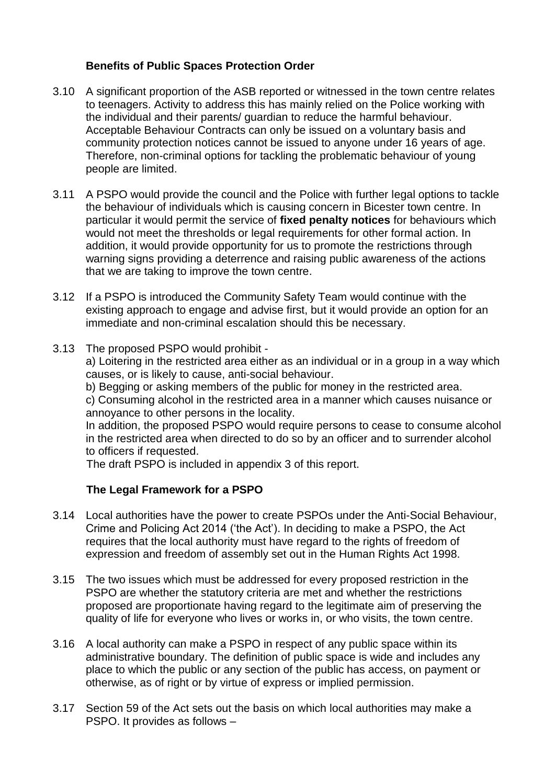#### **Benefits of Public Spaces Protection Order**

- 3.10 A significant proportion of the ASB reported or witnessed in the town centre relates to teenagers. Activity to address this has mainly relied on the Police working with the individual and their parents/ guardian to reduce the harmful behaviour. Acceptable Behaviour Contracts can only be issued on a voluntary basis and community protection notices cannot be issued to anyone under 16 years of age. Therefore, non-criminal options for tackling the problematic behaviour of young people are limited.
- 3.11 A PSPO would provide the council and the Police with further legal options to tackle the behaviour of individuals which is causing concern in Bicester town centre. In particular it would permit the service of **fixed penalty notices** for behaviours which would not meet the thresholds or legal requirements for other formal action. In addition, it would provide opportunity for us to promote the restrictions through warning signs providing a deterrence and raising public awareness of the actions that we are taking to improve the town centre.
- 3.12 If a PSPO is introduced the Community Safety Team would continue with the existing approach to engage and advise first, but it would provide an option for an immediate and non-criminal escalation should this be necessary.
- 3.13 The proposed PSPO would prohibit -

a) Loitering in the restricted area either as an individual or in a group in a way which causes, or is likely to cause, anti-social behaviour.

b) Begging or asking members of the public for money in the restricted area.

c) Consuming alcohol in the restricted area in a manner which causes nuisance or annoyance to other persons in the locality.

In addition, the proposed PSPO would require persons to cease to consume alcohol in the restricted area when directed to do so by an officer and to surrender alcohol to officers if requested.

The draft PSPO is included in appendix 3 of this report.

## **The Legal Framework for a PSPO**

- 3.14 Local authorities have the power to create PSPOs under the Anti-Social Behaviour, Crime and Policing Act 2014 ('the Act'). In deciding to make a PSPO, the Act requires that the local authority must have regard to the rights of freedom of expression and freedom of assembly set out in the Human Rights Act 1998.
- 3.15 The two issues which must be addressed for every proposed restriction in the PSPO are whether the statutory criteria are met and whether the restrictions proposed are proportionate having regard to the legitimate aim of preserving the quality of life for everyone who lives or works in, or who visits, the town centre.
- 3.16 A local authority can make a PSPO in respect of any public space within its administrative boundary. The definition of public space is wide and includes any place to which the public or any section of the public has access, on payment or otherwise, as of right or by virtue of express or implied permission.
- 3.17 Section 59 of the Act sets out the basis on which local authorities may make a PSPO. It provides as follows –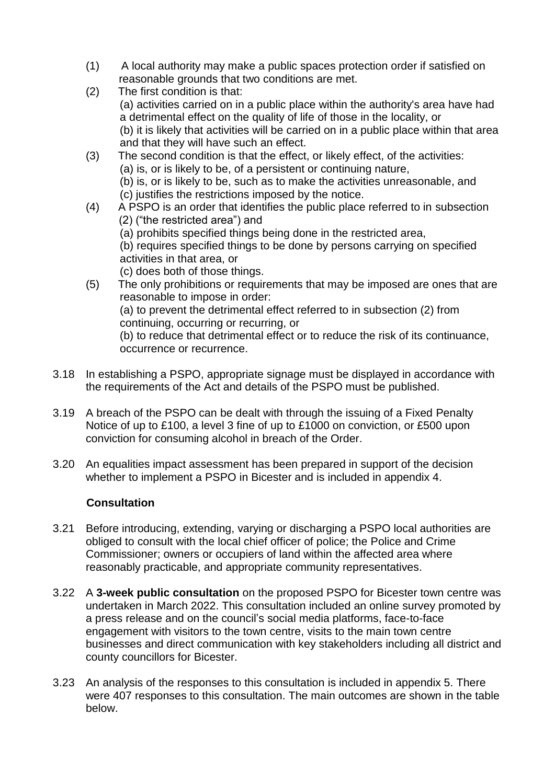- (1) A local authority may make a public spaces protection order if satisfied on reasonable grounds that two conditions are met.
- (2) The first condition is that: (a) activities carried on in a public place within the authority's area have had a detrimental effect on the quality of life of those in the locality, or (b) it is likely that activities will be carried on in a public place within that area and that they will have such an effect.
- (3) The second condition is that the effect, or likely effect, of the activities: (a) is, or is likely to be, of a persistent or continuing nature, (b) is, or is likely to be, such as to make the activities unreasonable, and (c) justifies the restrictions imposed by the notice.
- (4) A PSPO is an order that identifies the public place referred to in subsection (2) ("the restricted area") and
	- (a) prohibits specified things being done in the restricted area,
	- (b) requires specified things to be done by persons carrying on specified activities in that area, or
	- (c) does both of those things.
- (5) The only prohibitions or requirements that may be imposed are ones that are reasonable to impose in order:

(a) to prevent the detrimental effect referred to in subsection (2) from continuing, occurring or recurring, or

(b) to reduce that detrimental effect or to reduce the risk of its continuance, occurrence or recurrence.

- 3.18 In establishing a PSPO, appropriate signage must be displayed in accordance with the requirements of the Act and details of the PSPO must be published.
- 3.19 A breach of the PSPO can be dealt with through the issuing of a Fixed Penalty Notice of up to £100, a level 3 fine of up to £1000 on conviction, or £500 upon conviction for consuming alcohol in breach of the Order.
- 3.20 An equalities impact assessment has been prepared in support of the decision whether to implement a PSPO in Bicester and is included in appendix 4.

## **Consultation**

- 3.21 Before introducing, extending, varying or discharging a PSPO local authorities are obliged to consult with the local chief officer of police; the Police and Crime Commissioner; owners or occupiers of land within the affected area where reasonably practicable, and appropriate community representatives.
- 3.22 A **3-week public consultation** on the proposed PSPO for Bicester town centre was undertaken in March 2022. This consultation included an online survey promoted by a press release and on the council's social media platforms, face-to-face engagement with visitors to the town centre, visits to the main town centre businesses and direct communication with key stakeholders including all district and county councillors for Bicester.
- 3.23 An analysis of the responses to this consultation is included in appendix 5. There were 407 responses to this consultation. The main outcomes are shown in the table below.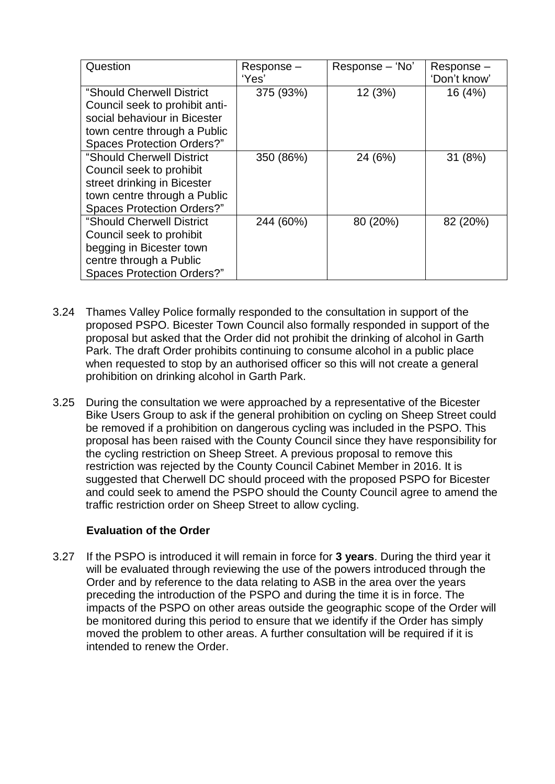| Question                                                                                                                                                         | Response-<br>'Yes' | Response – 'No' | Response-<br>'Don't know' |
|------------------------------------------------------------------------------------------------------------------------------------------------------------------|--------------------|-----------------|---------------------------|
| "Should Cherwell District<br>Council seek to prohibit anti-<br>social behaviour in Bicester<br>town centre through a Public<br><b>Spaces Protection Orders?"</b> | 375 (93%)          | 12 (3%)         | 16 (4%)                   |
| "Should Cherwell District<br>Council seek to prohibit<br>street drinking in Bicester<br>town centre through a Public<br><b>Spaces Protection Orders?"</b>        | 350 (86%)          | 24 (6%)         | 31(8%)                    |
| "Should Cherwell District<br>Council seek to prohibit<br>begging in Bicester town<br>centre through a Public<br><b>Spaces Protection Orders?"</b>                | 244 (60%)          | 80 (20%)        | 82 (20%)                  |

- 3.24 Thames Valley Police formally responded to the consultation in support of the proposed PSPO. Bicester Town Council also formally responded in support of the proposal but asked that the Order did not prohibit the drinking of alcohol in Garth Park. The draft Order prohibits continuing to consume alcohol in a public place when requested to stop by an authorised officer so this will not create a general prohibition on drinking alcohol in Garth Park.
- 3.25 During the consultation we were approached by a representative of the Bicester Bike Users Group to ask if the general prohibition on cycling on Sheep Street could be removed if a prohibition on dangerous cycling was included in the PSPO. This proposal has been raised with the County Council since they have responsibility for the cycling restriction on Sheep Street. A previous proposal to remove this restriction was rejected by the County Council Cabinet Member in 2016. It is suggested that Cherwell DC should proceed with the proposed PSPO for Bicester and could seek to amend the PSPO should the County Council agree to amend the traffic restriction order on Sheep Street to allow cycling.

## **Evaluation of the Order**

3.27 If the PSPO is introduced it will remain in force for **3 years**. During the third year it will be evaluated through reviewing the use of the powers introduced through the Order and by reference to the data relating to ASB in the area over the years preceding the introduction of the PSPO and during the time it is in force. The impacts of the PSPO on other areas outside the geographic scope of the Order will be monitored during this period to ensure that we identify if the Order has simply moved the problem to other areas. A further consultation will be required if it is intended to renew the Order.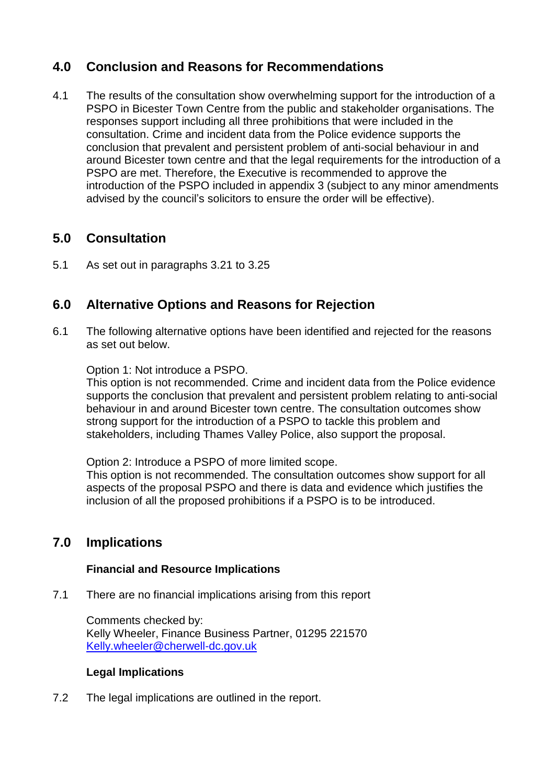# **4.0 Conclusion and Reasons for Recommendations**

4.1 The results of the consultation show overwhelming support for the introduction of a PSPO in Bicester Town Centre from the public and stakeholder organisations. The responses support including all three prohibitions that were included in the consultation. Crime and incident data from the Police evidence supports the conclusion that prevalent and persistent problem of anti-social behaviour in and around Bicester town centre and that the legal requirements for the introduction of a PSPO are met. Therefore, the Executive is recommended to approve the introduction of the PSPO included in appendix 3 (subject to any minor amendments advised by the council's solicitors to ensure the order will be effective).

# **5.0 Consultation**

5.1 As set out in paragraphs 3.21 to 3.25

# **6.0 Alternative Options and Reasons for Rejection**

6.1 The following alternative options have been identified and rejected for the reasons as set out below.

Option 1: Not introduce a PSPO.

This option is not recommended. Crime and incident data from the Police evidence supports the conclusion that prevalent and persistent problem relating to anti-social behaviour in and around Bicester town centre. The consultation outcomes show strong support for the introduction of a PSPO to tackle this problem and stakeholders, including Thames Valley Police, also support the proposal.

Option 2: Introduce a PSPO of more limited scope.

This option is not recommended. The consultation outcomes show support for all aspects of the proposal PSPO and there is data and evidence which justifies the inclusion of all the proposed prohibitions if a PSPO is to be introduced.

# **7.0 Implications**

#### **Financial and Resource Implications**

7.1 There are no financial implications arising from this report

Comments checked by: Kelly Wheeler, Finance Business Partner, 01295 221570 [Kelly.wheeler@cherwell-dc.gov.uk](mailto:Kelly.wheeler@cherwell-dc.gov.uk)

#### **Legal Implications**

7.2 The legal implications are outlined in the report.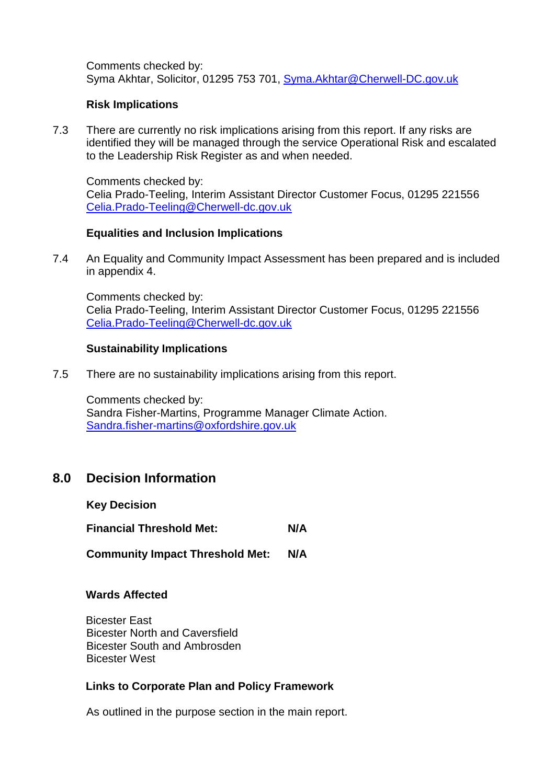Comments checked by: Syma Akhtar, Solicitor, 01295 753 701, [Syma.Akhtar@Cherwell-DC.gov.uk](mailto:Syma.Akhtar@Cherwell-DC.gov.uk)

#### **Risk Implications**

7.3 There are currently no risk implications arising from this report. If any risks are identified they will be managed through the service Operational Risk and escalated to the Leadership Risk Register as and when needed.

Comments checked by: Celia Prado-Teeling, Interim Assistant Director Customer Focus, 01295 221556 [Celia.Prado-Teeling@Cherwell-dc.gov.uk](mailto:Celia.Prado-Teeling@Cherwell-dc.gov.uk)

#### **Equalities and Inclusion Implications**

7.4 An Equality and Community Impact Assessment has been prepared and is included in appendix 4.

Comments checked by: Celia Prado-Teeling, Interim Assistant Director Customer Focus, 01295 221556 [Celia.Prado-Teeling@Cherwell-dc.gov.uk](mailto:Celia.Prado-Teeling@Cherwell-dc.gov.uk)

#### **Sustainability Implications**

7.5 There are no sustainability implications arising from this report.

Comments checked by: Sandra Fisher-Martins, Programme Manager Climate Action. [Sandra.fisher-martins@oxfordshire.gov.uk](mailto:Sandra.fisher-martins@oxfordshire.gov.uk)

## **8.0 Decision Information**

**Key Decision**

**Financial Threshold Met: N/A**

**Community Impact Threshold Met: N/A**

#### **Wards Affected**

Bicester East Bicester North and Caversfield Bicester South and Ambrosden Bicester West

#### **Links to Corporate Plan and Policy Framework**

As outlined in the purpose section in the main report.